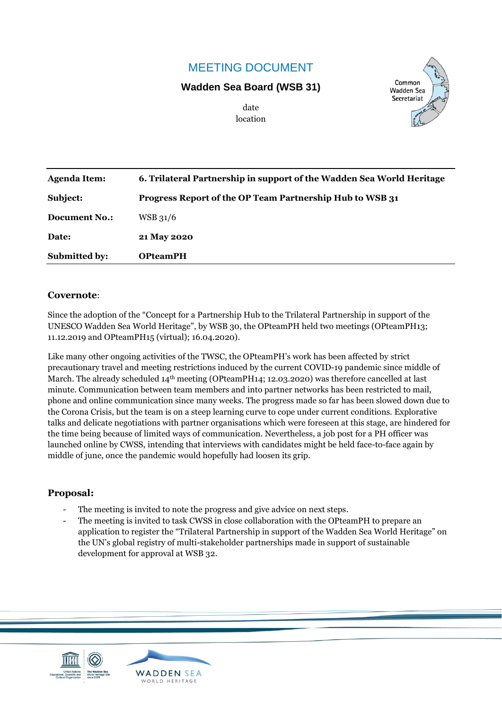# MEETING DOCUMENT

#### **Wadden Sea Board (WSB 31)**



date location

| Agenda Item:         | 6. Trilateral Partnership in support of the Wadden Sea World Heritage |
|----------------------|-----------------------------------------------------------------------|
| Subject:             | Progress Report of the OP Team Partnership Hub to WSB 31              |
| <b>Document No.:</b> | $WSB$ 31/6                                                            |
| Date:                | 21 May 2020                                                           |
| <b>Submitted by:</b> | <b>OPteamPH</b>                                                       |

#### **Covernote**:

Since the adoption of the "Concept for a Partnership Hub to the Trilateral Partnership in support of the UNESCO Wadden Sea World Heritage", by WSB 30, the OPteamPH held two meetings (OPteamPH13; 11.12.2019 and OPteamPH15 (virtual); 16.04.2020).

Like many other ongoing activities of the TWSC, the OPteamPH's work has been affected by strict precautionary travel and meeting restrictions induced by the current COVID-19 pandemic since middle of March. The already scheduled  $14<sup>th</sup>$  meeting (OPteamPH14; 12.03.2020) was therefore cancelled at last minute. Communication between team members and into partner networks has been restricted to mail, phone and online communication since many weeks. The progress made so far has been slowed down due to the Corona Crisis, but the team is on a steep learning curve to cope under current conditions. Explorative talks and delicate negotiations with partner organisations which were foreseen at this stage, are hindered for the time being because of limited ways of communication. Nevertheless, a job post for a PH officer was launched online by CWSS, intending that interviews with candidates might be held face-to-face again by middle of june, once the pandemic would hopefully had loosen its grip.

#### **Proposal:**

- The meeting is invited to note the progress and give advice on next steps.
- The meeting is invited to task CWSS in close collaboration with the OPteamPH to prepare an application to register the "Trilateral Partnership in support of the Wadden Sea World Heritage" on the UN's global registry of multi-stakeholder partnerships made in support of sustainable development for approval at WSB 32.



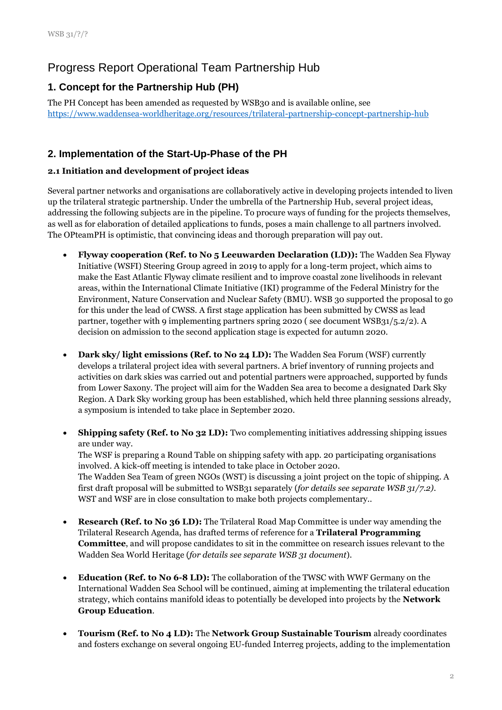# Progress Report Operational Team Partnership Hub

# **1. Concept for the Partnership Hub (PH)**

The PH Concept has been amended as requested by WSB30 and is available online, see <https://www.waddensea-worldheritage.org/resources/trilateral-partnership-concept-partnership-hub>

### **2. Implementation of the Start-Up-Phase of the PH**

#### **2.1 Initiation and development of project ideas**

Several partner networks and organisations are collaboratively active in developing projects intended to liven up the trilateral strategic partnership. Under the umbrella of the Partnership Hub, several project ideas, addressing the following subjects are in the pipeline. To procure ways of funding for the projects themselves, as well as for elaboration of detailed applications to funds, poses a main challenge to all partners involved. The OPteamPH is optimistic, that convincing ideas and thorough preparation will pay out.

- **Flyway cooperation (Ref. to No 5 Leeuwarden Declaration (LD)):** The Wadden Sea Flyway Initiative (WSFI) Steering Group agreed in 2019 to apply for a long-term project, which aims to make the East Atlantic Flyway climate resilient and to improve coastal zone livelihoods in relevant areas, within the International Climate Initiative (IKI) programme of the Federal Ministry for the Environment, Nature Conservation and Nuclear Safety (BMU). WSB 30 supported the proposal to go for this under the lead of CWSS. A first stage application has been submitted by CWSS as lead partner, together with 9 implementing partners spring 2020 ( see document WSB31/5.2/2). A decision on admission to the second application stage is expected for autumn 2020.
- **Dark sky/ light emissions (Ref. to No 24 LD):** The Wadden Sea Forum (WSF) currently develops a trilateral project idea with several partners. A brief inventory of running projects and activities on dark skies was carried out and potential partners were approached, supported by funds from Lower Saxony. The project will aim for the Wadden Sea area to become a designated Dark Sky Region. A Dark Sky working group has been established, which held three planning sessions already, a symposium is intended to take place in September 2020.
- **Shipping safety (Ref. to No 32 LD):** Two complementing initiatives addressing shipping issues are under way.

The WSF is preparing a Round Table on shipping safety with app. 20 participating organisations involved. A kick-off meeting is intended to take place in October 2020. The Wadden Sea Team of green NGOs (WST) is discussing a joint project on the topic of shipping. A first draft proposal will be submitted to WSB31 separately (*for details see separate WSB 31/7.2)*. WST and WSF are in close consultation to make both projects complementary..

- **Research (Ref. to No 36 LD):** The Trilateral Road Map Committee is under way amending the Trilateral Research Agenda, has drafted terms of reference for a **Trilateral Programming Committee**, and will propose candidates to sit in the committee on research issues relevant to the Wadden Sea World Heritage (*for details see separate WSB 31 document*).
- **Education (Ref. to No 6-8 LD):** The collaboration of the TWSC with WWF Germany on the International Wadden Sea School will be continued, aiming at implementing the trilateral education strategy, which contains manifold ideas to potentially be developed into projects by the **Network Group Education**.
- **Tourism (Ref. to No 4 LD):** The **Network Group Sustainable Tourism** already coordinates and fosters exchange on several ongoing EU-funded Interreg projects, adding to the implementation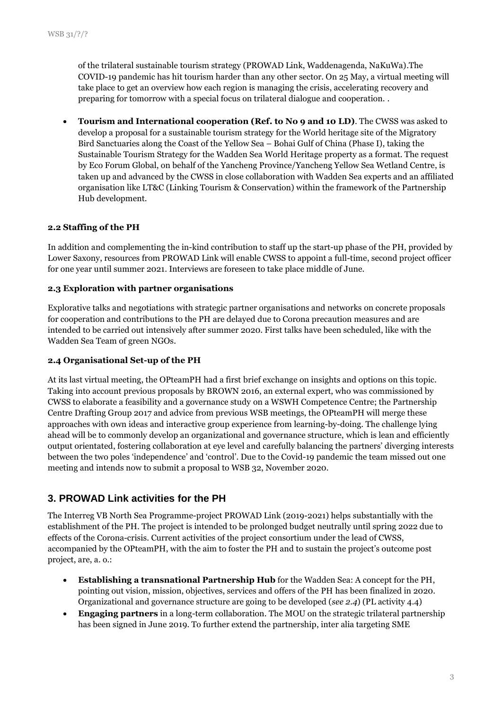of the trilateral sustainable tourism strategy (PROWAD Link, Waddenagenda, NaKuWa).The COVID-19 pandemic has hit tourism harder than any other sector. On 25 May, a virtual meeting will take place to get an overview how each region is managing the crisis, accelerating recovery and preparing for tomorrow with a special focus on trilateral dialogue and cooperation. .

• **Tourism and International cooperation (Ref. to No 9 and 10 LD)**. The CWSS was asked to develop a proposal for a sustainable tourism strategy for the World heritage site of the Migratory Bird Sanctuaries along the Coast of the Yellow Sea – Bohai Gulf of China (Phase I), taking the Sustainable Tourism Strategy for the Wadden Sea World Heritage property as a format. The request by Eco Forum Global, on behalf of the Yancheng Province/Yancheng Yellow Sea Wetland Centre, is taken up and advanced by the CWSS in close collaboration with Wadden Sea experts and an affiliated organisation like LT&C (Linking Tourism & Conservation) within the framework of the Partnership Hub development.

#### **2.2 Staffing of the PH**

In addition and complementing the in-kind contribution to staff up the start-up phase of the PH, provided by Lower Saxony, resources from PROWAD Link will enable CWSS to appoint a full-time, second project officer for one year until summer 2021. Interviews are foreseen to take place middle of June.

#### **2.3 Exploration with partner organisations**

Explorative talks and negotiations with strategic partner organisations and networks on concrete proposals for cooperation and contributions to the PH are delayed due to Corona precaution measures and are intended to be carried out intensively after summer 2020. First talks have been scheduled, like with the Wadden Sea Team of green NGOs.

#### **2.4 Organisational Set-up of the PH**

At its last virtual meeting, the OPteamPH had a first brief exchange on insights and options on this topic. Taking into account previous proposals by BROWN 2016, an external expert, who was commissioned by CWSS to elaborate a feasibility and a governance study on a WSWH Competence Centre; the Partnership Centre Drafting Group 2017 and advice from previous WSB meetings, the OPteamPH will merge these approaches with own ideas and interactive group experience from learning-by-doing. The challenge lying ahead will be to commonly develop an organizational and governance structure, which is lean and efficiently output orientated, fostering collaboration at eye level and carefully balancing the partners' diverging interests between the two poles 'independence' and 'control'. Due to the Covid-19 pandemic the team missed out one meeting and intends now to submit a proposal to WSB 32, November 2020.

### **3. PROWAD Link activities for the PH**

The Interreg VB North Sea Programme-project PROWAD Link (2019-2021) helps substantially with the establishment of the PH. The project is intended to be prolonged budget neutrally until spring 2022 due to effects of the Corona-crisis. Current activities of the project consortium under the lead of CWSS, accompanied by the OPteamPH, with the aim to foster the PH and to sustain the project's outcome post project, are, a. o.:

- **Establishing a transnational Partnership Hub** for the Wadden Sea: A concept for the PH, pointing out vision, mission, objectives, services and offers of the PH has been finalized in 2020. Organizational and governance structure are going to be developed (*see 2.4*) (PL activity 4.4)
- **Engaging partners** in a long-term collaboration. The MOU on the strategic trilateral partnership has been signed in June 2019. To further extend the partnership, inter alia targeting SME